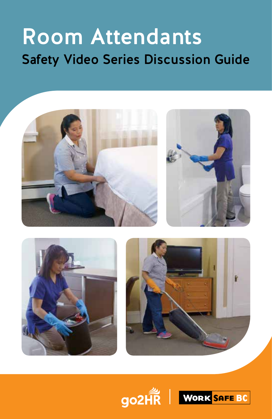# Room Attendants Safety Video Series Discussion Guide







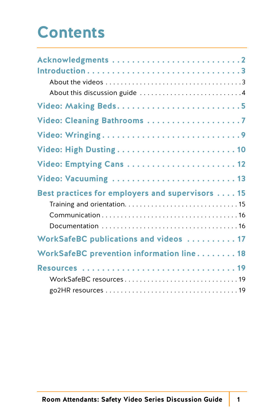### **Contents**

| Video: Cleaning Bathrooms 7                                               |
|---------------------------------------------------------------------------|
|                                                                           |
|                                                                           |
|                                                                           |
| Video: Vacuuming  13                                                      |
| Best practices for employers and supervisors 15                           |
| WorkSafeBC publications and videos  17                                    |
| WorkSafeBC prevention information line 18                                 |
| WorkSafeBC resources $\dots\dots\dots\dots\dots\dots\dots\dots\dots\dots$ |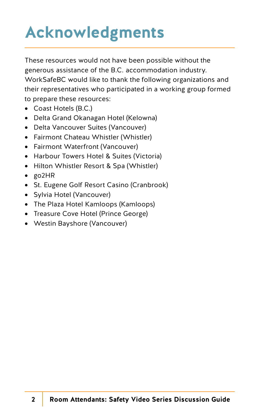## **Acknowledgments**

These resources would not have been possible without the generous assistance of the B.C. accommodation industry. WorkSafeBC would like to thank the following organizations and their representatives who participated in a working group formed to prepare these resources:

- Coast Hotels (B.C.)
- Delta Grand Okanagan Hotel (Kelowna)
- Delta Vancouver Suites (Vancouver)
- Fairmont Chateau Whistler (Whistler)
- Fairmont Waterfront (Vancouver)
- Harbour Towers Hotel & Suites (Victoria)
- Hilton Whistler Resort & Spa (Whistler)
- go2HR
- St. Eugene Golf Resort Casino (Cranbrook)
- Sylvia Hotel (Vancouver)
- The Plaza Hotel Kamloops (Kamloops)
- Treasure Cove Hotel (Prince George)
- Westin Bayshore (Vancouver)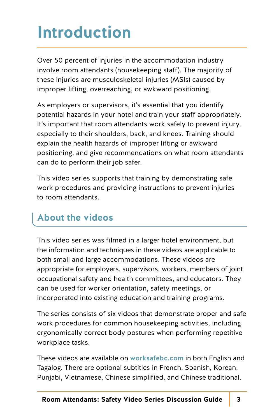## **Introduction**

Over 50 percent of injuries in the accommodation industry involve room attendants (housekeeping staff). The majority of these injuries are musculoskeletal injuries (MSIs) caused by improper lifting, overreaching, or awkward positioning.

As employers or supervisors, it's essential that you identify potential hazards in your hotel and train your staff appropriately. It's important that room attendants work safely to prevent injury, especially to their shoulders, back, and knees. Training should explain the health hazards of improper lifting or awkward positioning, and give recommendations on what room attendants can do to perform their job safer.

This video series supports that training by demonstrating safe work procedures and providing instructions to prevent injuries to room attendants.

### **About the videos**

This video series was filmed in a larger hotel environment, but the information and techniques in these videos are applicable to both small and large accommodations. These videos are appropriate for employers, supervisors, workers, members of joint occupational safety and health committees, and educators. They can be used for worker orientation, safety meetings, or incorporated into existing education and training programs.

The series consists of six videos that demonstrate proper and safe work procedures for common housekeeping activities, including ergonomically correct body postures when performing repetitive workplace tasks.

These videos are available on [worksafebc.com](www.worksafebc.com) in both English and Tagalog. There are optional subtitles in French, Spanish, Korean, Punjabi, Vietnamese, Chinese simplified, and Chinese traditional.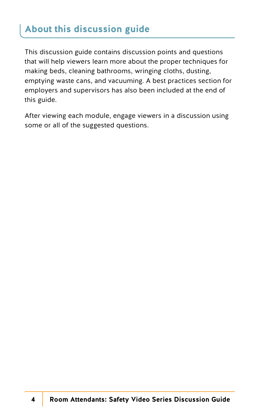### **About this discussion guide**

This discussion guide contains discussion points and questions that will help viewers learn more about the proper techniques for making beds, cleaning bathrooms, wringing cloths, dusting, emptying waste cans, and vacuuming. A best practices section for employers and supervisors has also been included at the end of this guide.

After viewing each module, engage viewers in a discussion using some or all of the suggested questions.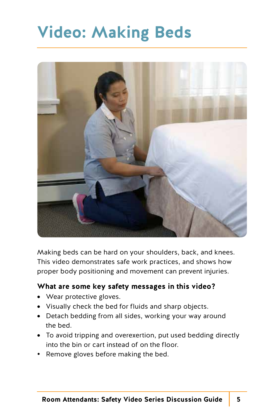### **Video: Making Beds**



Making beds can be hard on your shoulders, back, and knees. This video demonstrates safe work practices, and shows how proper body positioning and movement can prevent injuries.

#### **What are some key safety messages in this video?**

- Wear protective gloves.
- Visually check the bed for fluids and sharp objects.
- Detach bedding from all sides, working your way around the bed.
- To avoid tripping and overexertion, put used bedding directly into the bin or cart instead of on the floor.
- Remove gloves before making the bed.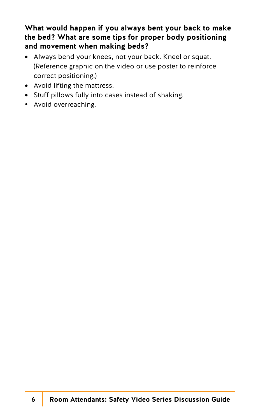#### **What would happen if you always bent your back to make the bed? What are some tips for proper body positioning and movement when making beds?**

- Always bend your knees, not your back. Kneel or squat. (Reference graphic on the video or use poster to reinforce correct positioning.)
- Avoid lifting the mattress.
- Stuff pillows fully into cases instead of shaking.
- Avoid overreaching.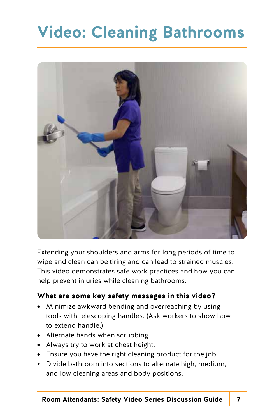## **Video: Cleaning Bathrooms**



Extending your shoulders and arms for long periods of time to wipe and clean can be tiring and can lead to strained muscles. This video demonstrates safe work practices and how you can help prevent injuries while cleaning bathrooms.

#### **What are some key safety messages in this video?**

- Minimize awkward bending and overreaching by using tools with telescoping handles. (Ask workers to show how to extend handle.)
- Alternate hands when scrubbing.
- Always try to work at chest height.
- Ensure you have the right cleaning product for the job.
- Divide bathroom into sections to alternate high, medium, and low cleaning areas and body positions.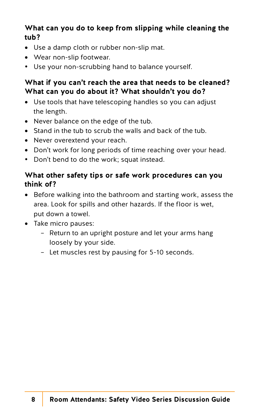#### **What can you do to keep from slipping while cleaning the tub?**

- Use a damp cloth or rubber non-slip mat.
- Wear non-slip footwear.
- Use your non-scrubbing hand to balance yourself.

#### **What if you can't reach the area that needs to be cleaned? What can you do about it? What shouldn't you do?**

- Use tools that have telescoping handles so you can adjust the length.
- Never balance on the edge of the tub.
- Stand in the tub to scrub the walls and back of the tub.
- Never overextend your reach.
- Don't work for long periods of time reaching over your head.
- Don't bend to do the work; squat instead.

#### **What other safety tips or safe work procedures can you think of?**

- Before walking into the bathroom and starting work, assess the area. Look for spills and other hazards. If the floor is wet, put down a towel.
- Take micro pauses:
	- Return to an upright posture and let your arms hang loosely by your side.
	- Let muscles rest by pausing for 5-10 seconds.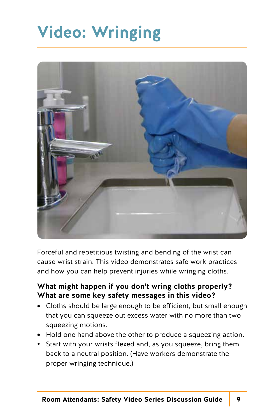## **Video: Wringing**



Forceful and repetitious twisting and bending of the wrist can cause wrist strain. This video demonstrates safe work practices and how you can help prevent injuries while wringing cloths.

#### **What might happen if you don't wring cloths properly? What are some key safety messages in this video?**

- Cloths should be large enough to be efficient, but small enough that you can squeeze out excess water with no more than two squeezing motions.
- Hold one hand above the other to produce a squeezing action.
- Start with your wrists flexed and, as you squeeze, bring them back to a neutral position. (Have workers demonstrate the proper wringing technique.)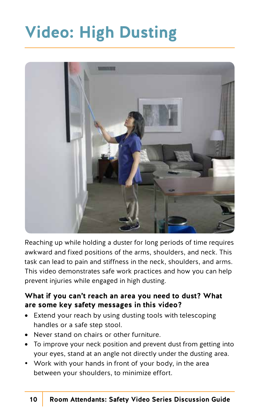## **Video: High Dusting**



Reaching up while holding a duster for long periods of time requires awkward and fixed positions of the arms, shoulders, and neck. This task can lead to pain and stiffness in the neck, shoulders, and arms. This video demonstrates safe work practices and how you can help prevent injuries while engaged in high dusting.

#### **What if you can't reach an area you need to dust? What are some key safety messages in this video?**

- Extend your reach by using dusting tools with telescoping handles or a safe step stool.
- Never stand on chairs or other furniture.
- To improve your neck position and prevent dust from getting into your eyes, stand at an angle not directly under the dusting area.
- Work with your hands in front of your body, in the area between your shoulders, to minimize effort.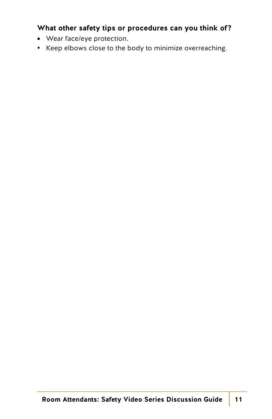#### **What other safety tips or procedures can you think of?**

- Wear face/eye protection.
- Keep elbows close to the body to minimize overreaching.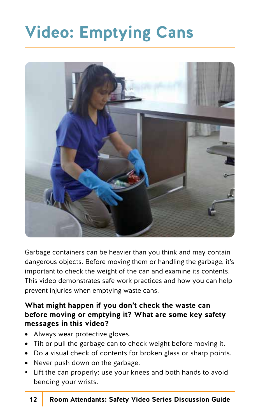## **Video: Emptying Cans**



Garbage containers can be heavier than you think and may contain dangerous objects. Before moving them or handling the garbage, it's important to check the weight of the can and examine its contents. This video demonstrates safe work practices and how you can help prevent injuries when emptying waste cans.

#### **What might happen if you don't check the waste can before moving or emptying it? What are some key safety messages in this video?**

- Always wear protective gloves.
- Tilt or pull the garbage can to check weight before moving it.
- Do a visual check of contents for broken glass or sharp points.
- Never push down on the garbage.
- Lift the can properly: use your knees and both hands to avoid bending your wrists.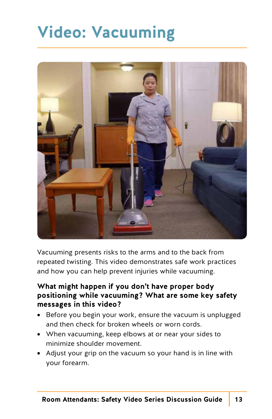## **Video: Vacuuming**



Vacuuming presents risks to the arms and to the back from repeated twisting. This video demonstrates safe work practices and how you can help prevent injuries while vacuuming.

#### **What might happen if you don't have proper body positioning while vacuuming? What are some key safety messages in this video?**

- Before you begin your work, ensure the vacuum is unplugged and then check for broken wheels or worn cords.
- When vacuuming, keep elbows at or near your sides to minimize shoulder movement.
- Adjust your grip on the vacuum so your hand is in line with your forearm.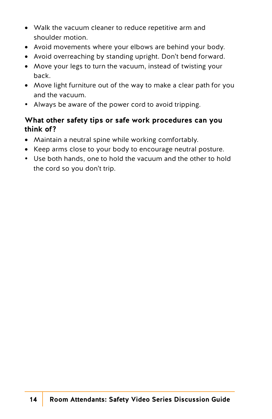- Walk the vacuum cleaner to reduce repetitive arm and shoulder motion.
- Avoid movements where your elbows are behind your body.
- Avoid overreaching by standing upright. Don't bend forward.
- Move your legs to turn the vacuum, instead of twisting your back.
- Move light furniture out of the way to make a clear path for you and the vacuum.
- Always be aware of the power cord to avoid tripping.

#### **What other safety tips or safe work procedures can you think of?**

- Maintain a neutral spine while working comfortably.
- Keep arms close to your body to encourage neutral posture.
- Use both hands, one to hold the vacuum and the other to hold the cord so you don't trip.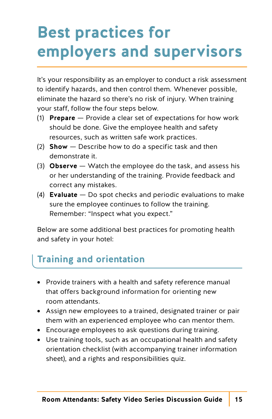## **Best practices for employers and supervisors**

It's your responsibility as an employer to conduct a risk assessment to identify hazards, and then control them. Whenever possible, eliminate the hazard so there's no risk of injury. When training your staff, follow the four steps below.

- (1) **Prepare** Provide a clear set of expectations for how work should be done. Give the employee health and safety resources, such as written safe work practices.
- (2) **Show** Describe how to do a specific task and then demonstrate it.
- (3) **Observe** Watch the employee do the task, and assess his or her understanding of the training. Provide feedback and correct any mistakes.
- (4) **Evaluate** Do spot checks and periodic evaluations to make sure the employee continues to follow the training. Remember: "Inspect what you expect."

Below are some additional best practices for promoting health and safety in your hotel:

### **Training and orientation**

- Provide trainers with a health and safety reference manual that offers background information for orienting new room attendants.
- Assign new employees to a trained, designated trainer or pair them with an experienced employee who can mentor them.
- Encourage employees to ask questions during training.
- Use training tools, such as an occupational health and safety orientation checklist (with accompanying trainer information sheet), and a rights and responsibilities quiz.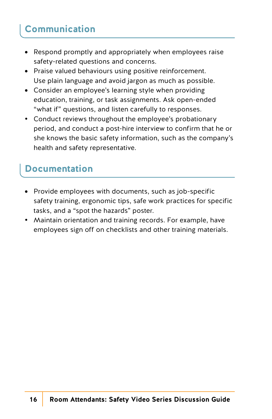### **Communication**

- Respond promptly and appropriately when employees raise safety-related questions and concerns.
- Praise valued behaviours using positive reinforcement. Use plain language and avoid jargon as much as possible.
- Consider an employee's learning style when providing education, training, or task assignments. Ask open-ended "what if" questions, and listen carefully to responses.
- Conduct reviews throughout the employee's probationary period, and conduct a post-hire interview to confirm that he or she knows the basic safety information, such as the company's health and safety representative.

### **Documentation**

- Provide employees with documents, such as job-specific safety training, ergonomic tips, safe work practices for specific tasks, and a "spot the hazards" poster.
- Maintain orientation and training records. For example, have employees sign off on checklists and other training materials.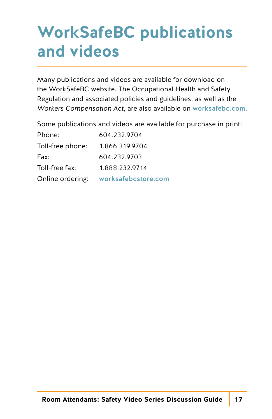### **WorkSafeBC publications and videos**

Many publications and videos are available for download on the WorkSafeBC website. The Occupational Health and Safety Regulation and associated policies and guidelines, as well as the *Workers Compensation Act,* are also available on [worksafebc.com](www.worksafebc.com).

Some publications and videos are available for purchase in print:

| Phone:           | 604.232.9704        |
|------------------|---------------------|
| Toll-free phone: | 1.866.319.9704      |
| Fax:             | 604.232.9703        |
| Toll-free fax:   | 1.888.232.9714      |
| Online ordering: | worksafebcstore.com |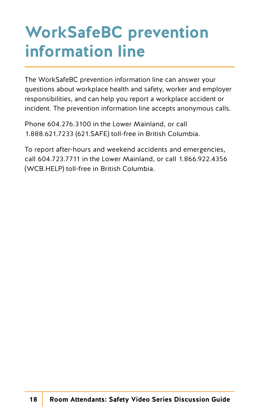## **WorkSafeBC prevention information line**

The WorkSafeBC prevention information line can answer your questions about workplace health and safety, worker and employer responsibilities, and can help you report a workplace accident or incident. The prevention information line accepts anonymous calls.

Phone 604.276.3100 in the Lower Mainland, or call 1.888.621.7233 (621.SAFE) toll-free in British Columbia.

To report after-hours and weekend accidents and emergencies, call 604.723.7711 in the Lower Mainland, or call 1.866.922.4356 (WCB.HELP) toll-free in British Columbia.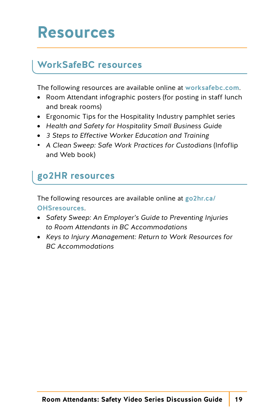### **Resources**

### **WorkSafeBC resources**

The following resources are available online at [worksafebc.com](www.worksafebc.com).

- Room Attendant infographic posters (for posting in staff lunch and break rooms)
- Ergonomic Tips for the Hospitality Industry pamphlet series
- *Health and Safety for Hospitality Small Business Guid*e
- *3 Steps to Effective Worker Education and Training*
- *A Clean Sweep: Safe Work Practices for Custodians* (Infoflip and Web book)

### **go2HR resources**

[The following resources are available online at](www.go2hr.ca/OHSresources) go2hr.ca/ OHSresources.

- *Safety Sweep: An Employer's Guide to Preventing Injuries to Room Attendants in BC Accommodations*
- *Keys to Injury Management: Return to Work Resources for BC Accommodations*